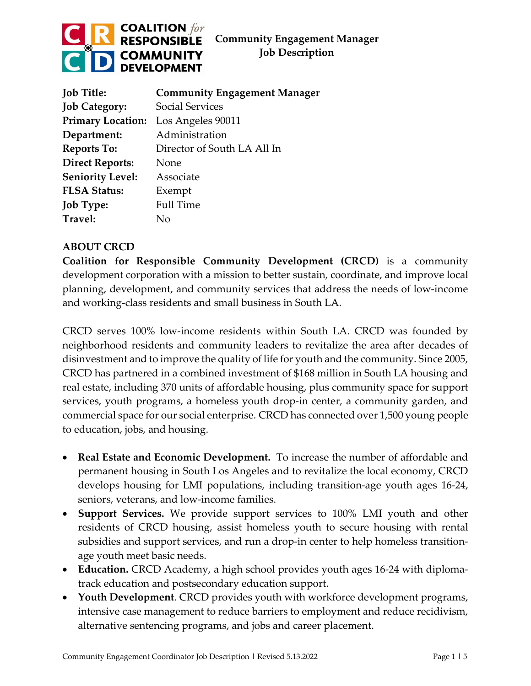

**Community Engagement Manager Job Description**

| <b>Job Title:</b>        | <b>Community Engagement Manager</b> |
|--------------------------|-------------------------------------|
| <b>Job Category:</b>     | Social Services                     |
| <b>Primary Location:</b> | Los Angeles 90011                   |
| Department:              | Administration                      |
| <b>Reports To:</b>       | Director of South LA All In         |
| <b>Direct Reports:</b>   | None                                |
| <b>Seniority Level:</b>  | Associate                           |
| <b>FLSA Status:</b>      | Exempt                              |
| <b>Job Type:</b>         | <b>Full Time</b>                    |
| Travel:                  | No                                  |

### **ABOUT CRCD**

**Coalition for Responsible Community Development (CRCD)** is a community development corporation with a mission to better sustain, coordinate, and improve local planning, development, and community services that address the needs of low-income and working-class residents and small business in South LA.

CRCD serves 100% low-income residents within South LA. CRCD was founded by neighborhood residents and community leaders to revitalize the area after decades of disinvestment and to improve the quality of life for youth and the community. Since 2005, CRCD has partnered in a combined investment of \$168 million in South LA housing and real estate, including 370 units of affordable housing, plus community space for support services, youth programs, a homeless youth drop-in center, a community garden, and commercial space for our social enterprise. CRCD has connected over 1,500 young people to education, jobs, and housing.

- **Real Estate and Economic Development.** To increase the number of affordable and permanent housing in South Los Angeles and to revitalize the local economy, CRCD develops housing for LMI populations, including transition-age youth ages 16-24, seniors, veterans, and low-income families.
- **Support Services.** We provide support services to 100% LMI youth and other residents of CRCD housing, assist homeless youth to secure housing with rental subsidies and support services, and run a drop-in center to help homeless transitionage youth meet basic needs.
- **Education.** CRCD Academy, a high school provides youth ages 16-24 with diplomatrack education and postsecondary education support.
- **Youth Development**. CRCD provides youth with workforce development programs, intensive case management to reduce barriers to employment and reduce recidivism, alternative sentencing programs, and jobs and career placement.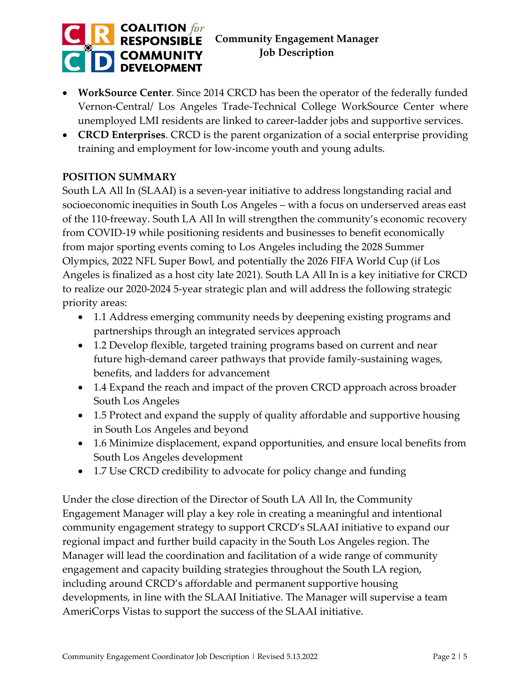

- **WorkSource Center**. Since 2014 CRCD has been the operator of the federally funded Vernon-Central/ Los Angeles Trade-Technical College WorkSource Center where unemployed LMI residents are linked to career-ladder jobs and supportive services.
- **CRCD Enterprises**. CRCD is the parent organization of a social enterprise providing training and employment for low-income youth and young adults.

## **POSITION SUMMARY**

South LA All In (SLAAI) is a seven-year initiative to address longstanding racial and socioeconomic inequities in South Los Angeles – with a focus on underserved areas east of the 110-freeway. South LA All In will strengthen the community's economic recovery from COVID-19 while positioning residents and businesses to benefit economically from major sporting events coming to Los Angeles including the 2028 Summer Olympics, 2022 NFL Super Bowl, and potentially the 2026 FIFA World Cup (if Los Angeles is finalized as a host city late 2021). South LA All In is a key initiative for CRCD to realize our 2020-2024 5-year strategic plan and will address the following strategic priority areas:

- 1.1 Address emerging community needs by deepening existing programs and partnerships through an integrated services approach
- 1.2 Develop flexible, targeted training programs based on current and near future high-demand career pathways that provide family-sustaining wages, benefits, and ladders for advancement
- 1.4 Expand the reach and impact of the proven CRCD approach across broader South Los Angeles
- 1.5 Protect and expand the supply of quality affordable and supportive housing in South Los Angeles and beyond
- 1.6 Minimize displacement, expand opportunities, and ensure local benefits from South Los Angeles development
- 1.7 Use CRCD credibility to advocate for policy change and funding

Under the close direction of the Director of South LA All In, the Community Engagement Manager will play a key role in creating a meaningful and intentional community engagement strategy to support CRCD's SLAAI initiative to expand our regional impact and further build capacity in the South Los Angeles region. The Manager will lead the coordination and facilitation of a wide range of community engagement and capacity building strategies throughout the South LA region, including around CRCD's affordable and permanent supportive housing developments, in line with the SLAAI Initiative. The Manager will supervise a team AmeriCorps Vistas to support the success of the SLAAI initiative.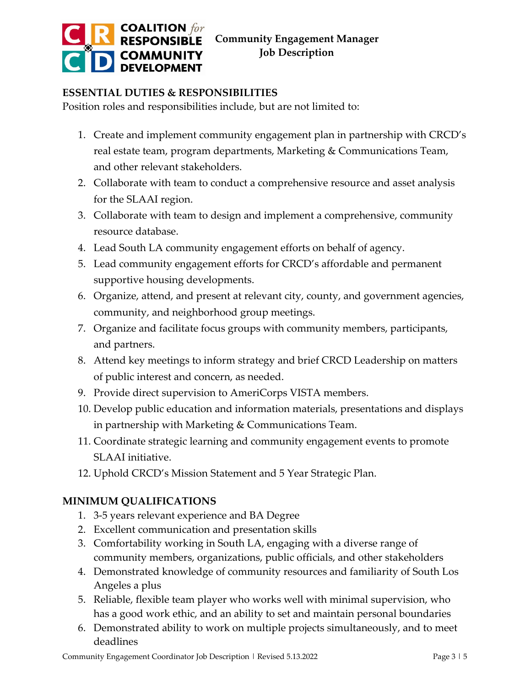

## **ESSENTIAL DUTIES & RESPONSIBILITIES**

Position roles and responsibilities include, but are not limited to:

- 1. Create and implement community engagement plan in partnership with CRCD's real estate team, program departments, Marketing & Communications Team, and other relevant stakeholders.
- 2. Collaborate with team to conduct a comprehensive resource and asset analysis for the SLAAI region.
- 3. Collaborate with team to design and implement a comprehensive, community resource database.
- 4. Lead South LA community engagement efforts on behalf of agency.
- 5. Lead community engagement efforts for CRCD's affordable and permanent supportive housing developments.
- 6. Organize, attend, and present at relevant city, county, and government agencies, community, and neighborhood group meetings.
- 7. Organize and facilitate focus groups with community members, participants, and partners.
- 8. Attend key meetings to inform strategy and brief CRCD Leadership on matters of public interest and concern, as needed.
- 9. Provide direct supervision to AmeriCorps VISTA members.
- 10. Develop public education and information materials, presentations and displays in partnership with Marketing & Communications Team.
- 11. Coordinate strategic learning and community engagement events to promote SLAAI initiative.
- 12. Uphold CRCD's Mission Statement and 5 Year Strategic Plan.

## **MINIMUM QUALIFICATIONS**

- 1. 3-5 years relevant experience and BA Degree
- 2. Excellent communication and presentation skills
- 3. Comfortability working in South LA, engaging with a diverse range of community members, organizations, public officials, and other stakeholders
- 4. Demonstrated knowledge of community resources and familiarity of South Los Angeles a plus
- 5. Reliable, flexible team player who works well with minimal supervision, who has a good work ethic, and an ability to set and maintain personal boundaries
- 6. Demonstrated ability to work on multiple projects simultaneously, and to meet deadlines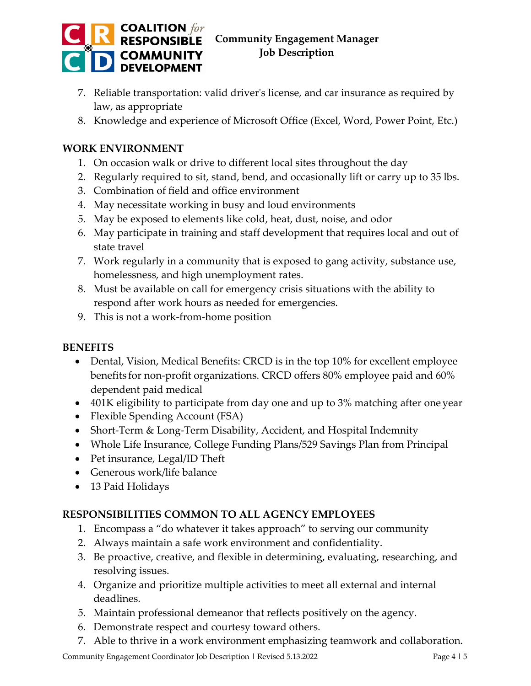

- 7. Reliable transportation: valid driver's license, and car insurance as required by law, as appropriate
- 8. Knowledge and experience of Microsoft Office (Excel, Word, Power Point, Etc.)

#### **WORK ENVIRONMENT**

- 1. On occasion walk or drive to different local sites throughout the day
- 2. Regularly required to sit, stand, bend, and occasionally lift or carry up to 35 lbs.
- 3. Combination of field and office environment
- 4. May necessitate working in busy and loud environments
- 5. May be exposed to elements like cold, heat, dust, noise, and odor
- 6. May participate in training and staff development that requires local and out of state travel
- 7. Work regularly in a community that is exposed to gang activity, substance use, homelessness, and high unemployment rates.
- 8. Must be available on call for emergency crisis situations with the ability to respond after work hours as needed for emergencies.
- 9. This is not a work-from-home position

#### **BENEFITS**

- Dental, Vision, Medical Benefits: CRCD is in the top 10% for excellent employee benefits for non-profit organizations. CRCD offers 80% employee paid and 60% dependent paid medical
- 401K eligibility to participate from day one and up to 3% matching after one year
- Flexible Spending Account (FSA)
- Short-Term & Long-Term Disability, Accident, and Hospital Indemnity
- Whole Life Insurance, College Funding Plans/529 Savings Plan from Principal
- Pet insurance, Legal/ID Theft
- Generous work/life balance
- 13 Paid Holidays

### **RESPONSIBILITIES COMMON TO ALL AGENCY EMPLOYEES**

- 1. Encompass a "do whatever it takes approach" to serving our community
- 2. Always maintain a safe work environment and confidentiality.
- 3. Be proactive, creative, and flexible in determining, evaluating, researching, and resolving issues.
- 4. Organize and prioritize multiple activities to meet all external and internal deadlines.
- 5. Maintain professional demeanor that reflects positively on the agency.
- 6. Demonstrate respect and courtesy toward others.
- 7. Able to thrive in a work environment emphasizing teamwork and collaboration.